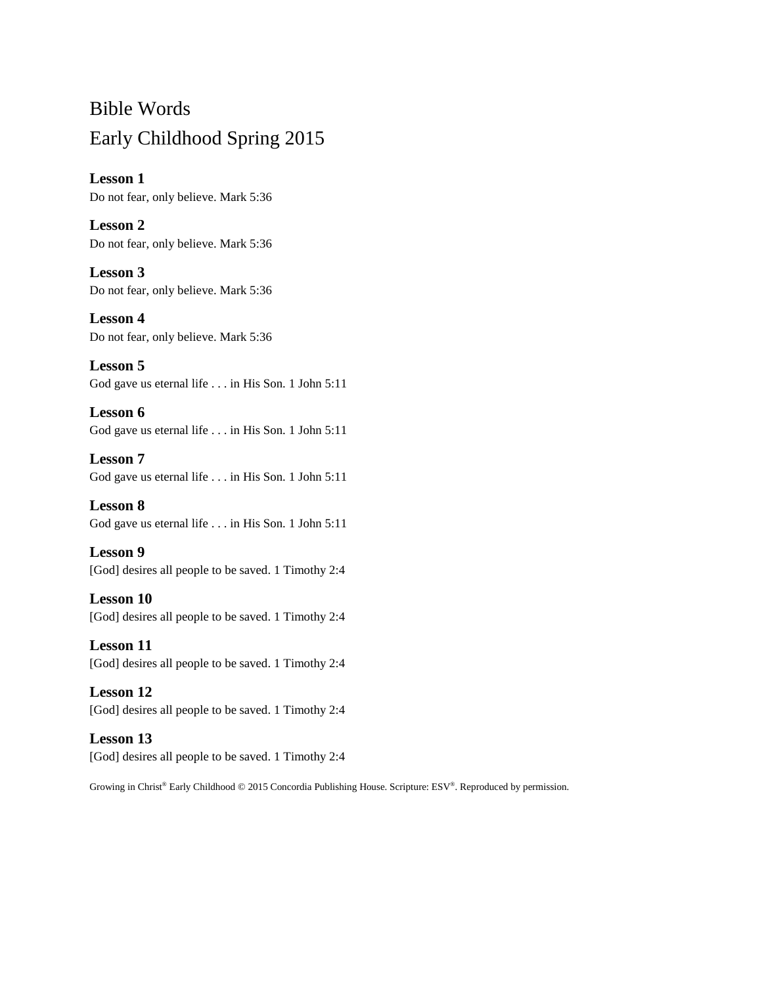# Bible Words Early Childhood Spring 2015

**Lesson 1** Do not fear, only believe. Mark 5:36

**Lesson 2** Do not fear, only believe. Mark 5:36

**Lesson 3** Do not fear, only believe. Mark 5:36

**Lesson 4** Do not fear, only believe. Mark 5:36

**Lesson 5** God gave us eternal life . . . in His Son. 1 John 5:11

**Lesson 6** God gave us eternal life . . . in His Son. 1 John 5:11

**Lesson 7** God gave us eternal life . . . in His Son. 1 John 5:11

**Lesson 8** God gave us eternal life . . . in His Son. 1 John 5:11

**Lesson 9** [God] desires all people to be saved. 1 Timothy 2:4

**Lesson 10** [God] desires all people to be saved. 1 Timothy 2:4

**Lesson 11** [God] desires all people to be saved. 1 Timothy 2:4

**Lesson 12** [God] desires all people to be saved. 1 Timothy 2:4

**Lesson 13** [God] desires all people to be saved. 1 Timothy 2:4

Growing in Christ® Early Childhood © 2015 Concordia Publishing House. Scripture: ESV®. Reproduced by permission.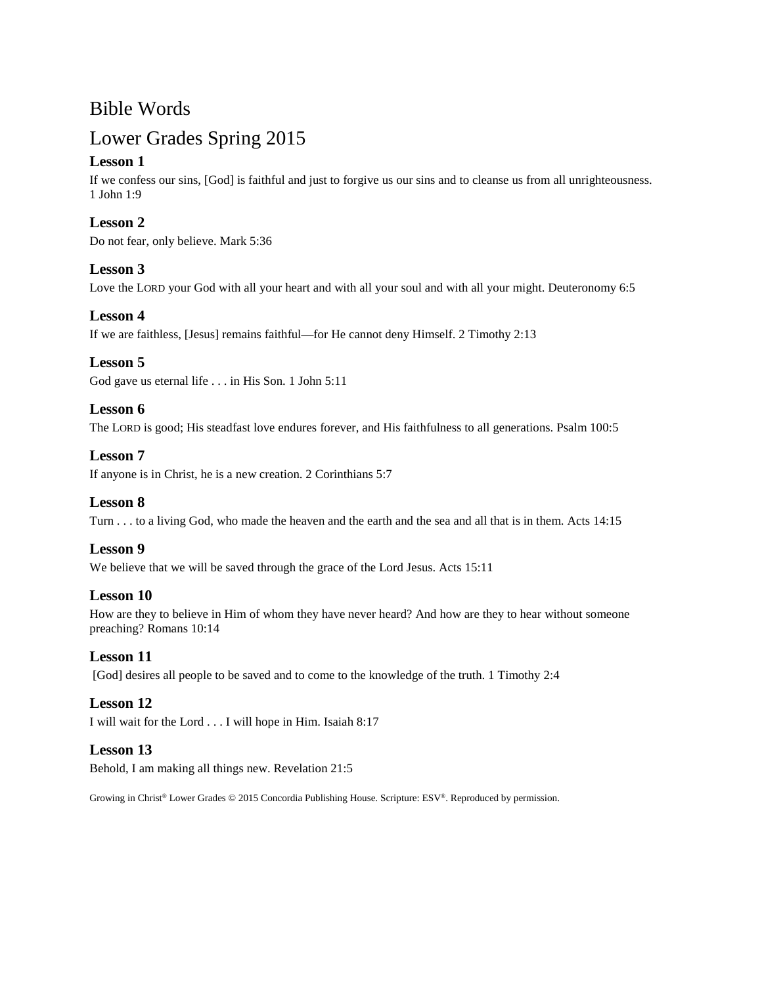## Bible Words

## Lower Grades Spring 2015

## **Lesson 1**

If we confess our sins, [God] is faithful and just to forgive us our sins and to cleanse us from all unrighteousness. 1 John 1:9

## **Lesson 2**

Do not fear, only believe. Mark 5:36

## **Lesson 3**

Love the LORD your God with all your heart and with all your soul and with all your might. Deuteronomy 6:5

## **Lesson 4**

If we are faithless, [Jesus] remains faithful—for He cannot deny Himself. 2 Timothy 2:13

## **Lesson 5**

God gave us eternal life . . . in His Son. 1 John 5:11

## **Lesson 6**

The LORD is good; His steadfast love endures forever, and His faithfulness to all generations. Psalm 100:5

### **Lesson 7**

If anyone is in Christ, he is a new creation. 2 Corinthians 5:7

## **Lesson 8**

Turn . . . to a living God, who made the heaven and the earth and the sea and all that is in them. Acts 14:15

## **Lesson 9**

We believe that we will be saved through the grace of the Lord Jesus. Acts 15:11

#### **Lesson 10**

How are they to believe in Him of whom they have never heard? And how are they to hear without someone preaching? Romans 10:14

## **Lesson 11**

[God] desires all people to be saved and to come to the knowledge of the truth. 1 Timothy 2:4

## **Lesson 12**

I will wait for the Lord . . . I will hope in Him. Isaiah 8:17

## **Lesson 13**

Behold, I am making all things new. Revelation 21:5

Growing in Christ® Lower Grades © 2015 Concordia Publishing House. Scripture: ESV®. Reproduced by permission.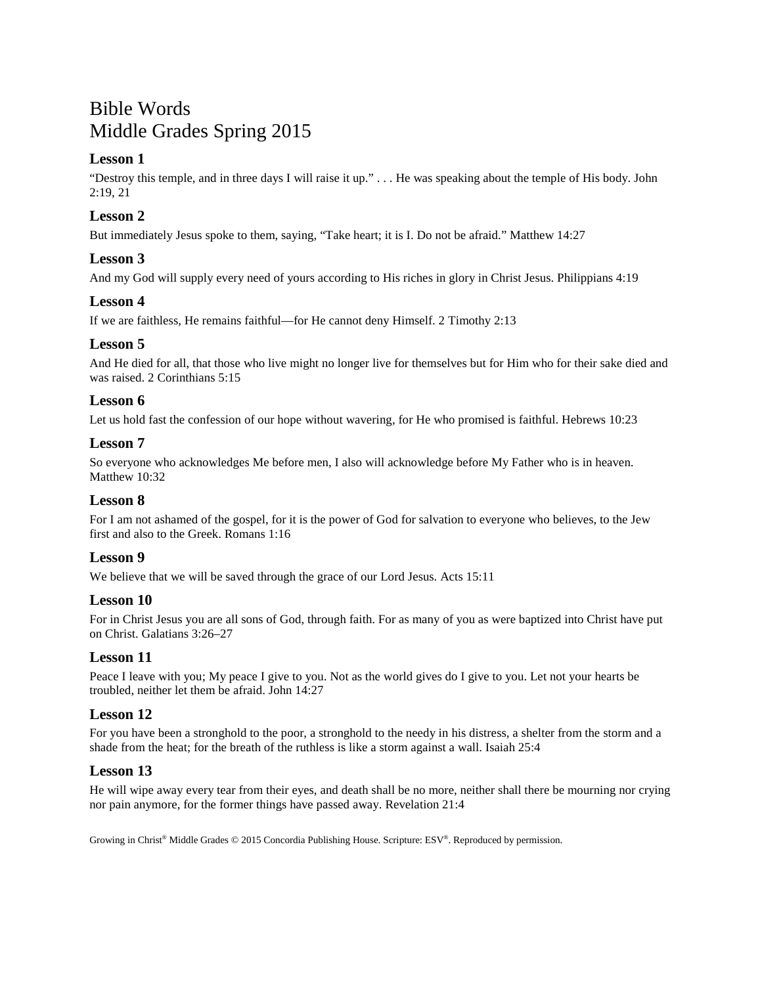# Bible Words Middle Grades Spring 2015

## **Lesson 1**

"Destroy this temple, and in three days I will raise it up." . . . He was speaking about the temple of His body. John 2:19, 21

## **Lesson 2**

But immediately Jesus spoke to them, saying, "Take heart; it is I. Do not be afraid." Matthew 14:27

## **Lesson 3**

And my God will supply every need of yours according to His riches in glory in Christ Jesus. Philippians 4:19

## **Lesson 4**

If we are faithless, He remains faithful—for He cannot deny Himself. 2 Timothy 2:13

### **Lesson 5**

And He died for all, that those who live might no longer live for themselves but for Him who for their sake died and was raised. 2 Corinthians 5:15

### **Lesson 6**

Let us hold fast the confession of our hope without wavering, for He who promised is faithful. Hebrews 10:23

### **Lesson 7**

So everyone who acknowledges Me before men, I also will acknowledge before My Father who is in heaven. Matthew 10:32

## **Lesson 8**

For I am not ashamed of the gospel, for it is the power of God for salvation to everyone who believes, to the Jew first and also to the Greek. Romans 1:16

#### **Lesson 9**

We believe that we will be saved through the grace of our Lord Jesus. Acts 15:11

#### **Lesson 10**

For in Christ Jesus you are all sons of God, through faith. For as many of you as were baptized into Christ have put on Christ. Galatians 3:26–27

#### **Lesson 11**

Peace I leave with you; My peace I give to you. Not as the world gives do I give to you. Let not your hearts be troubled, neither let them be afraid. John 14:27

#### **Lesson 12**

For you have been a stronghold to the poor, a stronghold to the needy in his distress, a shelter from the storm and a shade from the heat; for the breath of the ruthless is like a storm against a wall. Isaiah 25:4

#### **Lesson 13**

He will wipe away every tear from their eyes, and death shall be no more, neither shall there be mourning nor crying nor pain anymore, for the former things have passed away. Revelation 21:4

Growing in Christ® Middle Grades © 2015 Concordia Publishing House. Scripture: ESV®. Reproduced by permission.